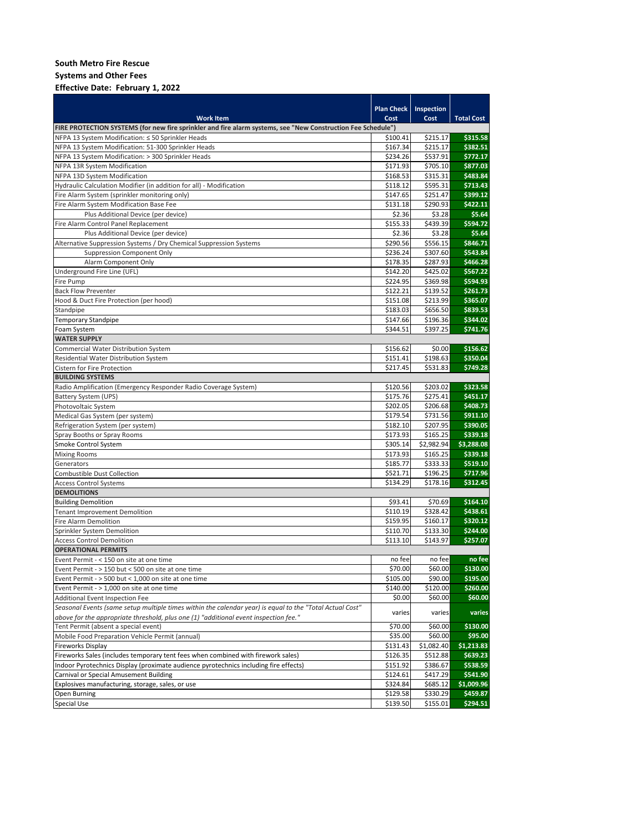**Systems and Other Fees**

## **Effective Date: February 1, 2022**

|                                                                                                              | <b>Plan Check</b>    | Inspection           |                   |
|--------------------------------------------------------------------------------------------------------------|----------------------|----------------------|-------------------|
| <b>Work Item</b>                                                                                             | Cost                 | Cost                 | <b>Total Cost</b> |
| FIRE PROTECTION SYSTEMS (for new fire sprinkler and fire alarm systems, see "New Construction Fee Schedule") |                      |                      |                   |
| NFPA 13 System Modification: ≤ 50 Sprinkler Heads                                                            | \$100.41             | \$215.17             | \$315.58          |
| NFPA 13 System Modification: 51-300 Sprinkler Heads                                                          | \$167.34             | \$215.17             | \$382.51          |
| NFPA 13 System Modification: > 300 Sprinkler Heads                                                           | \$234.26             | \$537.91             | \$772.17          |
| NFPA 13R System Modification                                                                                 | \$171.93             | \$705.10             | \$877.03          |
| NFPA 13D System Modification                                                                                 | \$168.53             | \$315.31             | \$483.84          |
| Hydraulic Calculation Modifier (in addition for all) - Modification                                          | \$118.12             | \$595.31             | \$713.43          |
| Fire Alarm System (sprinkler monitoring only)                                                                | \$147.65             | \$251.47             | \$399.12          |
| Fire Alarm System Modification Base Fee                                                                      | \$131.18             | \$290.93             | \$422.11          |
| Plus Additional Device (per device)                                                                          | \$2.36               | \$3.28               | \$5.64            |
| Fire Alarm Control Panel Replacement                                                                         | \$155.33             | \$439.39             | \$594.72          |
| Plus Additional Device (per device)                                                                          | \$2.36               | \$3.28               | \$5.64            |
| Alternative Suppression Systems / Dry Chemical Suppression Systems                                           | \$290.56             | \$556.15             | \$846.71          |
| <b>Suppression Component Only</b>                                                                            | \$236.24             | \$307.60             | \$543.84          |
| Alarm Component Only                                                                                         | \$178.35             | \$287.93             | \$466.28          |
| Underground Fire Line (UFL)                                                                                  | \$142.20             | \$425.02             | \$567.22          |
| Fire Pump                                                                                                    | \$224.95             | \$369.98             | \$594.93          |
| <b>Back Flow Preventer</b>                                                                                   | \$122.21             | \$139.52             | \$261.73          |
| Hood & Duct Fire Protection (per hood)                                                                       | \$151.08             | \$213.99             | \$365.07          |
| Standpipe                                                                                                    | \$183.03             | \$656.50             | \$839.53          |
| <b>Temporary Standpipe</b>                                                                                   | \$147.66             | \$196.36             | \$344.02          |
| Foam System                                                                                                  | \$344.51             | \$397.25             | \$741.76          |
| <b>WATER SUPPLY</b>                                                                                          |                      |                      |                   |
| Commercial Water Distribution System                                                                         | \$156.62             | \$0.00               | \$156.62          |
| Residential Water Distribution System                                                                        | \$151.41             | \$198.63             | \$350.04          |
| Cistern for Fire Protection<br><b>BUILDING SYSTEMS</b>                                                       | \$217.45             | \$531.83             | \$749.28          |
|                                                                                                              |                      |                      | \$323.58          |
| Radio Amplification (Emergency Responder Radio Coverage System)<br><b>Battery System (UPS)</b>               | \$120.56<br>\$175.76 | \$203.02<br>\$275.41 | \$451.17          |
| Photovoltaic System                                                                                          | \$202.05             | \$206.68             | \$408.73          |
| Medical Gas System (per system)                                                                              | \$179.54             | \$731.56             | \$911.10          |
| Refrigeration System (per system)                                                                            | \$182.10             | \$207.95             | \$390.05          |
| Spray Booths or Spray Rooms                                                                                  | \$173.93             | \$165.25             | \$339.18          |
| Smoke Control System                                                                                         | \$305.14             | \$2,982.94           | \$3,288.08        |
| <b>Mixing Rooms</b>                                                                                          | \$173.93             | \$165.25             | \$339.18          |
| Generators                                                                                                   | \$185.77             | \$333.33             | \$519.10          |
| Combustible Dust Collection                                                                                  | \$521.71             | \$196.25             | \$717.96          |
| <b>Access Control Systems</b>                                                                                | \$134.29             | \$178.16             | \$312.45          |
| <b>DEMOLITIONS</b>                                                                                           |                      |                      |                   |
| <b>Building Demolition</b>                                                                                   | \$93.41              | \$70.69              | \$164.10          |
| <b>Tenant Improvement Demolition</b>                                                                         | \$110.19             | \$328.42             | \$438.61          |
| Fire Alarm Demolition                                                                                        | \$159.95             | \$160.17             | \$320.12          |
| Sprinkler System Demolition                                                                                  | \$110.70             | \$133.30             | \$244.00          |
| <b>Access Control Demolition</b>                                                                             | \$113.10             | \$143.97             | \$257.07          |
| <b>OPERATIONAL PERMITS</b>                                                                                   |                      |                      |                   |
| Event Permit - < 150 on site at one time                                                                     | no fee               | no fee               | no fee            |
| Event Permit - > 150 but < 500 on site at one time                                                           | \$70.00              | \$60.00              | \$130.00          |
| Event Permit - > 500 but < 1,000 on site at one time                                                         | \$105.00             | \$90.00              | \$195.00          |
| Event Permit - > 1,000 on site at one time                                                                   | \$140.00             | \$120.00             | \$260.00          |
| Additional Event Inspection Fee                                                                              | \$0.00               | \$60.00              | \$60.00           |
| Seasonal Events (same setup multiple times within the calendar year) is equal to the "Total Actual Cost"     | varies               | varies               | varies            |
| above for the appropriate threshold, plus one (1) "additional event inspection fee."                         |                      |                      |                   |
| Tent Permit (absent a special event)                                                                         | \$70.00              | \$60.00              | \$130.00          |
| Mobile Food Preparation Vehicle Permit (annual)                                                              | \$35.00              | \$60.00              | \$95.00           |
| <b>Fireworks Display</b>                                                                                     | \$131.43             | \$1,082.40           | \$1,213.83        |
| Fireworks Sales (includes temporary tent fees when combined with firework sales)                             | \$126.35             | \$512.88             | \$639.23          |
| Indoor Pyrotechnics Display (proximate audience pyrotechnics including fire effects)                         | \$151.92             | \$386.67             | \$538.59          |
| Carnival or Special Amusement Building                                                                       | \$124.61             | \$417.29             | \$541.90          |
| Explosives manufacturing, storage, sales, or use                                                             | \$324.84             | \$685.12             | \$1,009.96        |
| Open Burning                                                                                                 | \$129.58             | \$330.29             | \$459.87          |
| Special Use                                                                                                  | \$139.50             | \$155.01             | \$294.51          |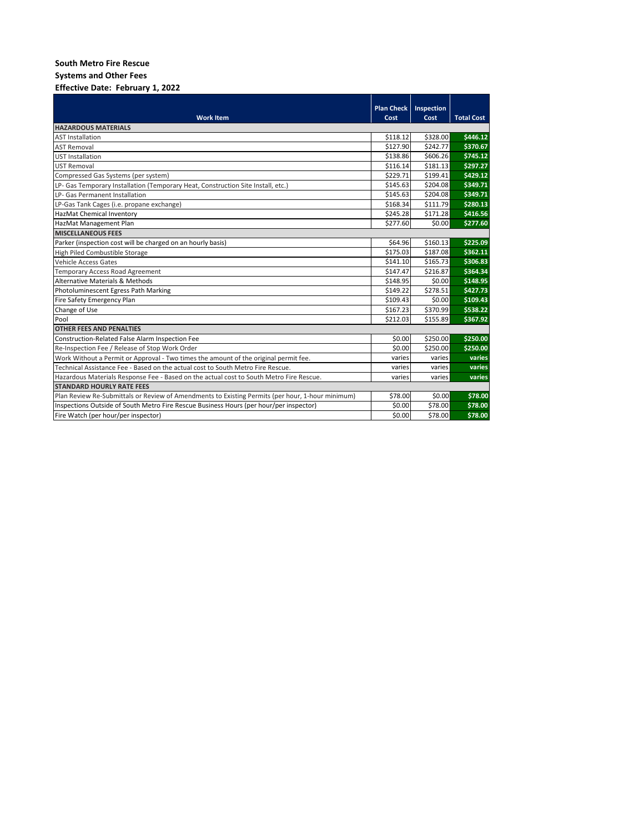**Systems and Other Fees**

## **Effective Date: February 1, 2022**

|                                                                                                  | <b>Plan Check</b> | Inspection |                   |  |  |  |  |
|--------------------------------------------------------------------------------------------------|-------------------|------------|-------------------|--|--|--|--|
| <b>Work Item</b>                                                                                 | Cost              | Cost       | <b>Total Cost</b> |  |  |  |  |
| <b>HAZARDOUS MATERIALS</b>                                                                       |                   |            |                   |  |  |  |  |
| <b>AST Installation</b>                                                                          | \$118.12          | \$328.00   | \$446.12          |  |  |  |  |
| <b>AST Removal</b>                                                                               | \$127.90          | \$242.77   | \$370.67          |  |  |  |  |
| <b>UST Installation</b>                                                                          | \$138.86          | \$606.26   | \$745.12          |  |  |  |  |
| <b>UST Removal</b>                                                                               | \$116.14          | \$181.13   | \$297.27          |  |  |  |  |
| Compressed Gas Systems (per system)                                                              | \$229.71          | \$199.41   | \$429.12          |  |  |  |  |
| LP- Gas Temporary Installation (Temporary Heat, Construction Site Install, etc.)                 | \$145.63          | \$204.08   | \$349.71          |  |  |  |  |
| LP- Gas Permanent Installation                                                                   | \$145.63          | \$204.08   | \$349.71          |  |  |  |  |
| LP-Gas Tank Cages (i.e. propane exchange)                                                        | \$168.34          | \$111.79   | \$280.13          |  |  |  |  |
| HazMat Chemical Inventory                                                                        | \$245.28          | \$171.28   | \$416.56          |  |  |  |  |
| HazMat Management Plan                                                                           | \$277.60          | \$0.00     | \$277.60          |  |  |  |  |
| <b>MISCELLANEOUS FEES</b>                                                                        |                   |            |                   |  |  |  |  |
| Parker (inspection cost will be charged on an hourly basis)                                      | \$64.96           | \$160.13   | \$225.09          |  |  |  |  |
| High Piled Combustible Storage                                                                   | \$175.03          | \$187.08   | \$362.11          |  |  |  |  |
| <b>Vehicle Access Gates</b>                                                                      | \$141.10          | \$165.73   | \$306.83          |  |  |  |  |
| <b>Temporary Access Road Agreement</b>                                                           | \$147.47          | \$216.87   | \$364.34          |  |  |  |  |
| <b>Alternative Materials &amp; Methods</b>                                                       | \$148.95          | \$0.00     | \$148.95          |  |  |  |  |
| Photoluminescent Egress Path Marking                                                             | \$149.22          | \$278.51   | \$427.73          |  |  |  |  |
| Fire Safety Emergency Plan                                                                       | \$109.43          | \$0.00     | \$109.43          |  |  |  |  |
| Change of Use                                                                                    | \$167.23          | \$370.99   | \$538.22          |  |  |  |  |
| Pool                                                                                             | \$212.03          | \$155.89   | \$367.92          |  |  |  |  |
| <b>OTHER FEES AND PENALTIES</b>                                                                  |                   |            |                   |  |  |  |  |
| Construction-Related False Alarm Inspection Fee                                                  | \$0.00            | \$250.00   | \$250.00          |  |  |  |  |
| Re-Inspection Fee / Release of Stop Work Order                                                   | \$0.00            | \$250.00   | \$250.00          |  |  |  |  |
| Work Without a Permit or Approval - Two times the amount of the original permit fee.             | varies            | varies     | varies            |  |  |  |  |
| Technical Assistance Fee - Based on the actual cost to South Metro Fire Rescue.                  | varies            | varies     | varies            |  |  |  |  |
| Hazardous Materials Response Fee - Based on the actual cost to South Metro Fire Rescue.          | varies            | varies     | varies            |  |  |  |  |
| <b>STANDARD HOURLY RATE FEES</b>                                                                 |                   |            |                   |  |  |  |  |
| Plan Review Re-Submittals or Review of Amendments to Existing Permits (per hour, 1-hour minimum) | \$78.00           | \$0.00     | \$78.00           |  |  |  |  |
| Inspections Outside of South Metro Fire Rescue Business Hours (per hour/per inspector)           | \$0.00            | \$78.00    | \$78.00           |  |  |  |  |
| Fire Watch (per hour/per inspector)                                                              | \$0.00            | \$78.00    | \$78.00           |  |  |  |  |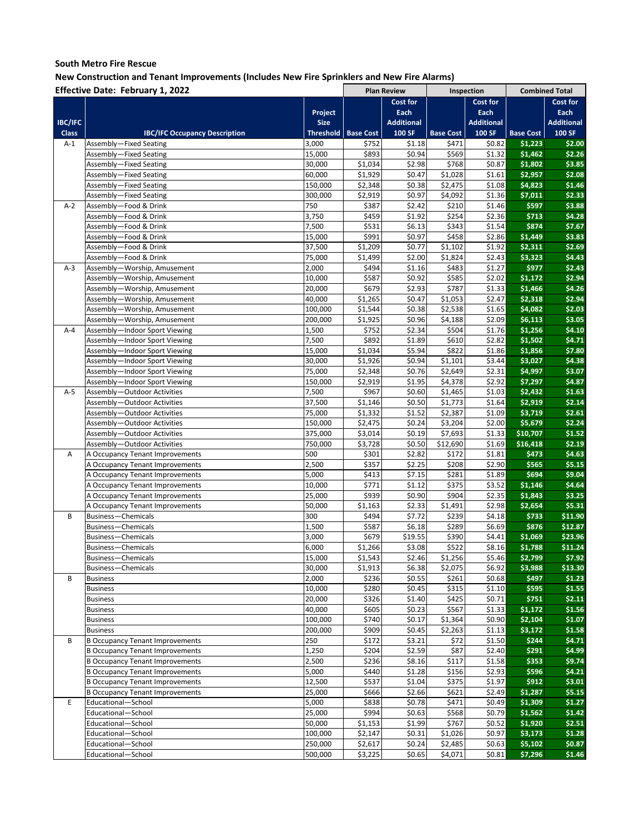|                | Effective Date: February 1, 2022       |                  |                  |                    |                  |                   | <b>Combined Total</b> |                   |
|----------------|----------------------------------------|------------------|------------------|--------------------|------------------|-------------------|-----------------------|-------------------|
|                |                                        |                  |                  | <b>Plan Review</b> |                  | Inspection        |                       |                   |
|                |                                        |                  |                  | Cost for           |                  | Cost for          |                       | Cost for          |
|                |                                        | Project          |                  | Each               |                  | Each              |                       | Each              |
| <b>IBC/IFC</b> |                                        | <b>Size</b>      |                  | <b>Additional</b>  |                  | <b>Additional</b> |                       | <b>Additional</b> |
| <b>Class</b>   | <b>IBC/IFC Occupancy Description</b>   | <b>Threshold</b> | <b>Base Cost</b> | 100 SF             | <b>Base Cost</b> | 100 SF            | <b>Base Cost</b>      | 100 SF            |
| $A-1$          | Assembly-Fixed Seating                 | 3,000            | \$752            | \$1.18             | \$471            | \$0.82            | \$1,223               | \$2.00            |
|                | Assembly-Fixed Seating                 | 15,000           | \$893            | \$0.94             | \$569            | \$1.32            | \$1,462               | \$2.26            |
|                | Assembly-Fixed Seating                 | 30,000           | \$1,034          | \$2.98             | \$768            | \$0.87            | \$1,802               | \$3.85            |
|                | Assembly-Fixed Seating                 | 60,000           | \$1,929          | \$0.47             | \$1,028          | \$1.61            | \$2,957               | \$2.08            |
|                | Assembly-Fixed Seating                 | 150,000          | \$2,348          | \$0.38             | \$2,475          | \$1.08            | \$4,823               | \$1.46            |
|                | Assembly-Fixed Seating                 | 300,000          | \$2,919          | \$0.97             | \$4,092          | \$1.36            | \$7,011               | \$2.33            |
| $A-2$          | Assembly-Food & Drink                  | 750              | \$387            | \$2.42             | \$210            | \$1.46            | \$597                 | \$3.88            |
|                | Assembly-Food & Drink                  | 3,750            | \$459            | \$1.92             | \$254            | \$2.36            | \$713                 | \$4.28            |
|                | Assembly-Food & Drink                  | 7,500            | \$531            | \$6.13             | \$343            | \$1.54            | \$874                 | \$7.67            |
|                | Assembly-Food & Drink                  | 15,000           | \$991            | \$0.97             | \$458            | \$2.86            | \$1,449               | \$3.83            |
|                | Assembly-Food & Drink                  | 37,500           | \$1,209          | \$0.77             | \$1,102          | \$1.92            | \$2,311               | \$2.69            |
|                | Assembly-Food & Drink                  | 75,000           | \$1,499          | \$2.00             | \$1,824          | \$2.43            | \$3,323               | \$4.43            |
| $A-3$          | Assembly-Worship, Amusement            | 2,000            | \$494            | \$1.16             | \$483            | \$1.27            | \$977                 | \$2.43            |
|                | Assembly-Worship, Amusement            | 10,000           | \$587            | \$0.92             | \$585            | \$2.02            | \$1,172               | \$2.94            |
|                | Assembly-Worship, Amusement            | 20,000           | \$679            | \$2.93             | \$787            | \$1.33            | \$1,466               | \$4.26            |
|                | Assembly-Worship, Amusement            | 40,000           | \$1,265          | \$0.47             | \$1,053          | \$2.47            | \$2,318               | \$2.94            |
|                | Assembly-Worship, Amusement            | 100,000          | \$1,544          | \$0.38             | \$2,538          | \$1.65            | \$4,082               | \$2.03            |
|                |                                        |                  |                  |                    |                  |                   |                       |                   |
|                | Assembly-Worship, Amusement            | 200,000          | \$1,925          | \$0.96             | \$4,188          | \$2.09            | \$6,113               | \$3.05            |
| $A - 4$        | Assembly-Indoor Sport Viewing          | 1,500            | \$752            | \$2.34             | \$504            | \$1.76            | \$1,256               | \$4.10            |
|                | Assembly-Indoor Sport Viewing          | 7,500            | \$892            | \$1.89             | \$610            | \$2.82            | \$1,502               | \$4.71            |
|                | Assembly-Indoor Sport Viewing          | 15,000           | \$1,034          | \$5.94             | \$822            | \$1.86            | \$1,856               | \$7.80            |
|                | Assembly-Indoor Sport Viewing          | 30,000           | \$1,926          | \$0.94             | \$1,101          | \$3.44            | \$3,027               | \$4.38            |
|                | Assembly-Indoor Sport Viewing          | 75,000           | \$2,348          | \$0.76             | \$2,649          | \$2.31            | \$4,997               | \$3.07            |
|                | Assembly-Indoor Sport Viewing          | 150,000          | \$2,919          | \$1.95             | \$4,378          | \$2.92            | \$7,297               | \$4.87            |
| $A-5$          | Assembly-Outdoor Activities            | 7,500            | \$967            | \$0.60             | \$1,465          | \$1.03            | \$2,432               | \$1.63            |
|                | Assembly-Outdoor Activities            | 37,500           | \$1,146          | \$0.50             | \$1,773          | \$1.64            | \$2,919               | \$2.14            |
|                | Assembly-Outdoor Activities            | 75,000           | \$1,332          | \$1.52             | \$2,387          | \$1.09            | \$3,719               | \$2.61            |
|                | Assembly-Outdoor Activities            | 150,000          | \$2,475          | \$0.24             | \$3,204          | \$2.00            | \$5,679               | \$2.24            |
|                | Assembly-Outdoor Activities            | 375,000          | \$3,014          | \$0.19             | \$7,693          | \$1.33            | \$10,707              | \$1.52            |
|                | Assembly-Outdoor Activities            | 750,000          | \$3,728          | \$0.50             | \$12,690         | \$1.69            | \$16,418              | \$2.19            |
| Α              | A Occupancy Tenant Improvements        | 500              | \$301            | \$2.82             | \$172            | \$1.81            | \$473                 | \$4.63            |
|                | A Occupancy Tenant Improvements        | 2,500            | \$357            | \$2.25             | \$208            | \$2.90            | \$565                 | \$5.15            |
|                | A Occupancy Tenant Improvements        | 5,000            | \$413            | \$7.15             | \$281            | \$1.89            | \$694                 | \$9.04            |
|                | A Occupancy Tenant Improvements        | 10,000           | \$771            | \$1.12             | \$375            | \$3.52            | \$1,146               | \$4.64            |
|                | A Occupancy Tenant Improvements        | 25,000           | \$939            | \$0.90             | \$904            | \$2.35            | \$1,843               | \$3.25            |
|                | A Occupancy Tenant Improvements        | 50,000           | \$1,163          | \$2.33             | \$1,491          | \$2.98            | \$2,654               | \$5.31            |
| B              | Business-Chemicals                     | 300              | \$494            | \$7.72             | \$239            | \$4.18            | \$733                 | \$11.90           |
|                | <b>Business-Chemicals</b>              | 1,500            | \$587            | \$6.18             | \$289            | \$6.69            | \$876                 | \$12.87           |
|                | <b>Business-Chemicals</b>              | 3,000            | \$679            | \$19.55            | \$390            | \$4.41            | \$1,069               | \$23.96           |
|                | <b>Business-Chemicals</b>              | 6,000            | \$1,266          | \$3.08             | \$522            | \$8.16            | \$1,788               | \$11.24           |
|                | Business-Chemicals                     | 15,000           | \$1,543          | \$2.46             | \$1,256          | \$5.46            | \$2,799               | \$7.92            |
|                | Business-Chemicals                     | 30,000           | \$1,913          | \$6.38             | \$2,075          | \$6.92            | \$3,988               | \$13.30           |
| В              | <b>Business</b>                        | 2,000            | \$236            | \$0.55             | \$261            | \$0.68            | \$497                 | \$1.23            |
|                | <b>Business</b>                        | 10,000           | \$280            | \$0.45             | \$315            | \$1.10            | \$595                 | \$1.55            |
|                | <b>Business</b>                        | 20,000           | \$326            | \$1.40             | \$425            | \$0.71            | \$751                 | \$2.11            |
|                | <b>Business</b>                        | 40,000           | \$605            | \$0.23             | \$567            | \$1.33            | \$1,172               | \$1.56            |
|                | <b>Business</b>                        | 100,000          | \$740            | \$0.17             | \$1,364          | \$0.90            | \$2,104               | \$1.07            |
|                |                                        |                  |                  |                    | \$2,263          |                   | \$3,172               | \$1.58            |
| В              | <b>Business</b>                        | 200,000<br>250   | \$909            | \$0.45             |                  | \$1.13<br>\$1.50  | \$244                 | \$4.71            |
|                | <b>B Occupancy Tenant Improvements</b> |                  | \$172            | \$3.21             | \$72             |                   |                       |                   |
|                | <b>B Occupancy Tenant Improvements</b> | 1,250            | \$204            | \$2.59             | \$87             | \$2.40            | \$291                 | \$4.99            |
|                | <b>B Occupancy Tenant Improvements</b> | 2,500            | \$236            | \$8.16             | \$117            | \$1.58            | \$353                 | \$9.74            |
|                | <b>B Occupancy Tenant Improvements</b> | 5,000            | \$440            | \$1.28             | \$156            | \$2.93            | \$596                 | \$4.21            |
|                | <b>B Occupancy Tenant Improvements</b> | 12,500           | \$537            | \$1.04             | \$375            | \$1.97            | \$912                 | \$3.01            |
|                | <b>B Occupancy Tenant Improvements</b> | 25,000           | \$666            | \$2.66             | \$621            | \$2.49            | \$1,287               | \$5.15            |
| E              | Educational-School                     | 5,000            | \$838            | \$0.78             | \$471            | \$0.49            | \$1,309               | \$1.27            |
|                | Educational-School                     | 25,000           | \$994            | \$0.63             | \$568            | \$0.79            | \$1,562               | \$1.42            |
|                | Educational-School                     | 50,000           | \$1,153          | \$1.99             | \$767            | \$0.52            | \$1,920               | \$2.51            |
|                | Educational-School                     | 100,000          | \$2,147          | \$0.31             | \$1,026          | \$0.97            | \$3,173               | \$1.28            |
|                | Educational-School                     | 250,000          | \$2,617          | \$0.24             | \$2,485          | \$0.63            | \$5,102               | \$0.87            |
|                | Educational-School                     | 500,000          | \$3,225          | \$0.65             | \$4,071          | \$0.81            | \$7,296               | \$1.46            |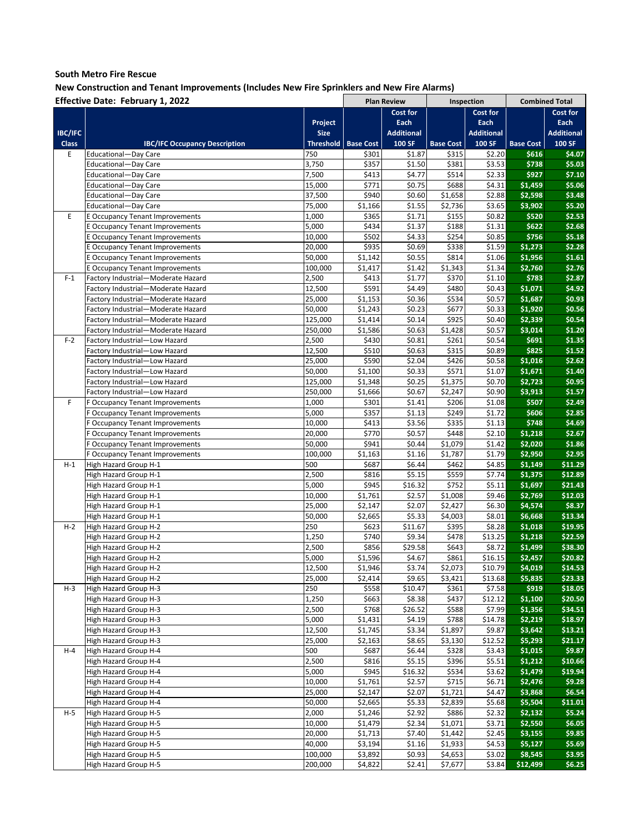|                | Effective Date: February 1, 2022               |                    |                  | <b>Plan Review</b> | Inspection       |                   |                  | <b>Combined Total</b> |
|----------------|------------------------------------------------|--------------------|------------------|--------------------|------------------|-------------------|------------------|-----------------------|
|                |                                                |                    |                  | Cost for           |                  | Cost for          |                  | Cost for              |
|                |                                                | Project            |                  | Each               |                  | Each              |                  | Each                  |
| <b>IBC/IFC</b> |                                                | <b>Size</b>        |                  | <b>Additional</b>  |                  | <b>Additional</b> |                  | <b>Additional</b>     |
| <b>Class</b>   | <b>IBC/IFC Occupancy Description</b>           | <b>Threshold</b>   | <b>Base Cost</b> | 100 SF             | <b>Base Cost</b> | 100 SF            | <b>Base Cost</b> | 100 SF                |
| E              | Educational-Day Care                           | 750                | \$301            | \$1.87             | \$315            | \$2.20            | \$616            | \$4.07                |
|                | Educational-Day Care                           | 3,750              | \$357            | \$1.50             | \$381            | \$3.53            | \$738            | \$5.03                |
|                | Educational-Day Care                           | 7,500              | \$413            | \$4.77             | \$514            | \$2.33            | \$927            | \$7.10                |
|                | Educational—Day Care                           | 15,000             | \$771            | \$0.75             | \$688            | \$4.31            | \$1,459          | \$5.06                |
|                | Educational-Day Care                           | 37,500             | \$940            | \$0.60             | \$1,658          | \$2.88            | \$2,598          | \$3.48                |
|                |                                                |                    |                  |                    |                  |                   | \$3,902          | \$5.20                |
|                | Educational-Day Care                           | 75,000             | \$1,166          | \$1.55             | \$2,736          | \$3.65            |                  |                       |
| E              | <b>E Occupancy Tenant Improvements</b>         | 1,000              | \$365            | \$1.71             | \$155            | \$0.82            | \$520            | \$2.53                |
|                | E Occupancy Tenant Improvements                | 5,000              | \$434            | \$1.37             | \$188            | \$1.31            | \$622            | \$2.68                |
|                | <b>E Occupancy Tenant Improvements</b>         | 10,000             | \$502            | \$4.33             | \$254            | \$0.85            | \$756            | \$5.18                |
|                | <b>E Occupancy Tenant Improvements</b>         | 20,000             | \$935            | \$0.69             | \$338            | \$1.59            | \$1,273          | \$2.28                |
|                | <b>E Occupancy Tenant Improvements</b>         | 50,000             | \$1,142          | \$0.55             | \$814            | \$1.06            | \$1,956          | \$1.61                |
|                | <b>E Occupancy Tenant Improvements</b>         | 100,000            | \$1,417          | \$1.42             | \$1,343          | \$1.34            | \$2,760          | \$2.76                |
| $F-1$          | Factory Industrial-Moderate Hazard             | 2,500              | \$413            | \$1.77             | \$370            | \$1.10            | \$783            | \$2.87                |
|                | Factory Industrial-Moderate Hazard             | 12,500             | \$591            | \$4.49             | \$480            | \$0.43            | \$1,071          | \$4.92                |
|                | Factory Industrial-Moderate Hazard             | 25,000             | \$1,153          | \$0.36             | \$534            | \$0.57            | \$1,687          | \$0.93                |
|                | Factory Industrial-Moderate Hazard             | 50,000             | \$1,243          | \$0.23             | \$677            | \$0.33            | \$1,920          | \$0.56                |
|                | Factory Industrial-Moderate Hazard             | 125,000            | \$1,414          | \$0.14             | \$925            | \$0.40            | \$2,339          | \$0.54                |
|                | Factory Industrial-Moderate Hazard             | 250,000            | \$1,586          | \$0.63             | \$1,428          | \$0.57            | \$3,014          | \$1.20                |
| $F-2$          | Factory Industrial-Low Hazard                  | 2,500              | \$430            | \$0.81             | \$261            | \$0.54            | \$691            | \$1.35                |
|                | Factory Industrial—Low Hazard                  | 12,500             | \$510            | \$0.63             | \$315            | \$0.89            | \$825            | \$1.52                |
|                | Factory Industrial-Low Hazard                  | 25,000             | \$590            | \$2.04             | \$426            | \$0.58            | \$1,016          | \$2.62                |
|                | Factory Industrial-Low Hazard                  | 50,000             | \$1,100          | \$0.33             | \$571            | \$1.07            | \$1,671          | \$1.40                |
|                | Factory Industrial-Low Hazard                  |                    | \$1,348          | \$0.25             |                  |                   |                  | \$0.95                |
|                |                                                | 125,000<br>250,000 | \$1,666          |                    | \$1,375          | \$0.70            | \$2,723          |                       |
|                | Factory Industrial-Low Hazard                  |                    |                  | \$0.67             | \$2,247          | \$0.90            | \$3,913          | \$1.57                |
| F              | F Occupancy Tenant Improvements                | 1,000              | \$301            | \$1.41             | \$206            | \$1.08            | \$507            | \$2.49                |
|                | F Occupancy Tenant Improvements                | 5,000              | \$357            | \$1.13             | \$249            | \$1.72            | \$606            | \$2.85                |
|                | F Occupancy Tenant Improvements                | 10,000             | \$413            | \$3.56             | \$335            | \$1.13            | \$748            | \$4.69                |
|                | <b>Cocupancy Tenant Improvements</b>           | 20,000             | \$770            | \$0.57             | \$448            | \$2.10            | \$1,218          | \$2.67                |
|                | F Occupancy Tenant Improvements                | 50,000             | \$941            | \$0.44             | \$1,079          | \$1.42            | \$2,020          | \$1.86                |
|                | F Occupancy Tenant Improvements                | 100,000            | \$1,163          | \$1.16             | \$1,787          | \$1.79            | \$2,950          | \$2.95                |
| H-1            | High Hazard Group H-1                          | 500                | \$687            | \$6.44             | \$462            | \$4.85            | \$1,149          | \$11.29               |
|                | High Hazard Group H-1                          | 2,500              | \$816            | \$5.15             | \$559            | \$7.74            | \$1,375          | \$12.89               |
|                | High Hazard Group H-1                          | 5,000              | \$945            | \$16.32            | \$752            | \$5.11            | \$1,697          | \$21.43               |
|                | High Hazard Group H-1                          | 10,000             | \$1,761          | \$2.57             | \$1,008          | \$9.46            | \$2,769          | \$12.03               |
|                | High Hazard Group H-1                          | 25,000             | \$2,147          | \$2.07             | \$2,427          | \$6.30            | \$4,574          | \$8.37                |
|                | High Hazard Group H-1                          | 50,000             | \$2,665          | \$5.33             | \$4,003          | \$8.01            | \$6,668          | \$13.34               |
| $H-2$          | High Hazard Group H-2                          | 250                | \$623            | \$11.67            | \$395            | \$8.28            | \$1,018          | \$19.95               |
|                | High Hazard Group H-2                          | 1,250              | \$740            | \$9.34             | \$478            | \$13.25           | \$1,218          | \$22.59               |
|                | High Hazard Group H-2                          | 2,500              | \$856            | \$29.58            | \$643            | \$8.72            | \$1,499          | \$38.30               |
|                | High Hazard Group H-2                          | 5,000              | \$1,596          | \$4.67             | \$861            | \$16.15           | \$2,457          | \$20.82               |
|                | High Hazard Group H-2                          | 12,500             | \$1,946          | \$3.74             | \$2,073          | \$10.79           | \$4,019          | \$14.53               |
|                |                                                | 25,000             |                  |                    |                  |                   |                  | \$23.33               |
|                | High Hazard Group H-2                          |                    | \$2,414          | \$9.65<br>\$10.47  | \$3,421          | \$13.68           | \$5,835          |                       |
| H-3            | High Hazard Group H-3<br>High Hazard Group H-3 | 250                | \$558            |                    | \$361            | \$7.58<br>\$12.12 | \$919            | \$18.05               |
|                |                                                | 1,250              | \$663            | \$8.38             | \$437            |                   | \$1,100          | \$20.50               |
|                | High Hazard Group H-3                          | 2,500              | \$768            | \$26.52            | \$588            | \$7.99            | \$1,356          | \$34.51               |
|                | High Hazard Group H-3                          | 5,000              | \$1,431          | \$4.19             | \$788            | \$14.78           | \$2,219          | \$18.97               |
|                | High Hazard Group H-3                          | 12,500             | \$1,745          | \$3.34             | \$1,897          | \$9.87            | \$3,642          | \$13.21               |
|                | High Hazard Group H-3                          | 25,000             | \$2,163          | \$8.65             | \$3,130          | \$12.52           | \$5,293          | \$21.17               |
| $H - 4$        | High Hazard Group H-4                          | 500                | \$687            | \$6.44             | \$328            | \$3.43            | \$1,015          | \$9.87                |
|                | High Hazard Group H-4                          | 2,500              | \$816            | \$5.15             | \$396            | \$5.51            | \$1,212          | \$10.66               |
|                | High Hazard Group H-4                          | 5,000              | \$945            | \$16.32            | \$534            | \$3.62            | \$1,479          | \$19.94               |
|                | High Hazard Group H-4                          | 10,000             | \$1,761          | \$2.57             | \$715            | \$6.71            | \$2,476          | 59.28                 |
|                | High Hazard Group H-4                          | 25,000             | \$2,147          | \$2.07             | \$1,721          | \$4.47            | \$3,868          | \$6.54                |
|                | High Hazard Group H-4                          | 50,000             | \$2,665          | \$5.33             | \$2,839          | \$5.68            | \$5,504          | \$11.01               |
| $H-5$          | High Hazard Group H-5                          | 2,000              | \$1,246          | \$2.92             | \$886            | \$2.32            | \$2,132          | \$5.24                |
|                | High Hazard Group H-5                          | 10,000             | \$1,479          | \$2.34             | \$1,071          | \$3.71            | \$2,550          | \$6.05                |
|                | High Hazard Group H-5                          | 20,000             | \$1,713          | \$7.40             | \$1,442          | \$2.45            | \$3,155          | \$9.85                |
|                | High Hazard Group H-5                          | 40,000             | \$3,194          | \$1.16             | \$1,933          | \$4.53            | \$5,127          | \$5.69                |
|                | High Hazard Group H-5                          | 100,000            | \$3,892          | \$0.93             | \$4,653          | \$3.02            | \$8,545          | \$3.95                |
|                | High Hazard Group H-5                          | 200,000            | \$4,822          | \$2.41             | \$7,677          | \$3.84            | \$12,499         | \$6.25                |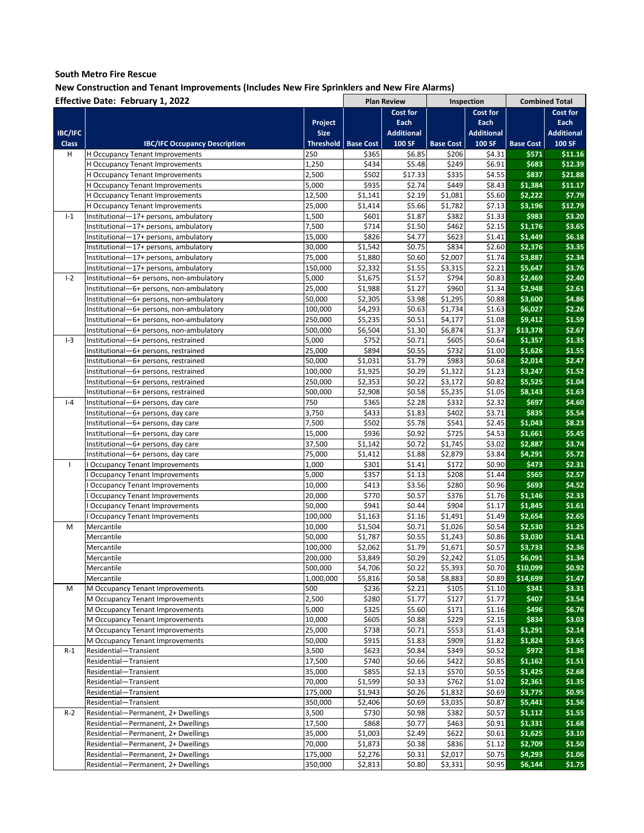|                | <b>Effective Date: February 1, 2022</b>  |                  |                  | <b>Plan Review</b> | Inspection       |                   |                  | <b>Combined Total</b> |
|----------------|------------------------------------------|------------------|------------------|--------------------|------------------|-------------------|------------------|-----------------------|
|                |                                          |                  |                  | Cost for           |                  | <b>Cost for</b>   |                  | Cost for              |
|                |                                          | Project          |                  | Each               |                  | Each              |                  | Each                  |
| <b>IBC/IFC</b> |                                          | <b>Size</b>      |                  | <b>Additional</b>  |                  | <b>Additional</b> |                  | <b>Additional</b>     |
| <b>Class</b>   | <b>IBC/IFC Occupancy Description</b>     | <b>Threshold</b> | <b>Base Cost</b> | 100 SF             | <b>Base Cost</b> | <b>100 SF</b>     | <b>Base Cost</b> | 100 SF                |
| н              | H Occupancy Tenant Improvements          | 250              | \$365            | \$6.85             | \$206            | \$4.31            | \$571            | \$11.16               |
|                | H Occupancy Tenant Improvements          | 1,250            | \$434            | \$5.48             | \$249            | \$6.91            | \$683            | \$12.39               |
|                | H Occupancy Tenant Improvements          | 2,500            | \$502            | \$17.33            | \$335            | \$4.55            | \$837            | \$21.88               |
|                | H Occupancy Tenant Improvements          | 5,000            | \$935            | \$2.74             | \$449            | \$8.43            | \$1,384          | \$11.17               |
|                | H Occupancy Tenant Improvements          | 12,500           | \$1,141          | \$2.19             | \$1,081          | \$5.60            | \$2,222          | \$7.79                |
|                |                                          |                  |                  |                    | \$1,782          |                   |                  | \$12.79               |
|                | <b>H Occupancy Tenant Improvements</b>   | 25,000           | \$1,414          | \$5.66             |                  | \$7.13            | \$3,196          |                       |
| $I-1$          | Institutional-17+ persons, ambulatory    | 1,500            | \$601            | \$1.87             | \$382            | \$1.33            | \$983            | \$3.20                |
|                | Institutional-17+ persons, ambulatory    | 7,500            | \$714            | \$1.50             | \$462            | \$2.15            | \$1,176          | \$3.65                |
|                | Institutional-17+ persons, ambulatory    | 15,000           | \$826            | \$4.77             | \$623            | \$1.41            | \$1,449          | \$6.18                |
|                | Institutional-17+ persons, ambulatory    | 30,000           | \$1,542          | \$0.75             | \$834            | \$2.60            | \$2,376          | \$3.35                |
|                | Institutional-17+ persons, ambulatory    | 75,000           | \$1,880          | \$0.60             | \$2,007          | \$1.74            | \$3,887          | \$2.34                |
|                | Institutional-17+ persons, ambulatory    | 150,000          | \$2,332          | \$1.55             | \$3,315          | \$2.21            | \$5,647          | \$3.76                |
| $I-2$          | Institutional-6+ persons, non-ambulatory | 5,000            | \$1,675          | \$1.57             | \$794            | \$0.83            | \$2,469          | \$2.40                |
|                | Institutional-6+ persons, non-ambulatory | 25,000           | \$1,988          | \$1.27             | \$960            | \$1.34            | \$2,948          | \$2.61                |
|                | Institutional—6+ persons, non-ambulatory | 50,000           | \$2,305          | \$3.98             | \$1,295          | \$0.88            | \$3,600          | \$4.86                |
|                | Institutional-6+ persons, non-ambulatory | 100,000          | \$4,293          | \$0.63             | \$1,734          | \$1.63            | \$6,027          | \$2.26                |
|                | Institutional-6+ persons, non-ambulatory | 250,000          | \$5,235          | \$0.51             | \$4,177          | \$1.08            | \$9,412          | \$1.59                |
|                | Institutional-6+ persons, non-ambulatory | 500,000          | \$6,504          | \$1.30             | \$6,874          | \$1.37            | \$13,378         | \$2.67                |
| $I-3$          | Institutional-6+ persons, restrained     | 5,000            | \$752            | \$0.71             | \$605            | \$0.64            | \$1,357          | \$1.35                |
|                | Institutional-6+ persons, restrained     | 25,000           | \$894            | \$0.55             | \$732            | \$1.00            | \$1,626          | \$1.55                |
|                | Institutional-6+ persons, restrained     | 50,000           | \$1,031          | \$1.79             | \$983            | \$0.68            | \$2,014          | \$2.47                |
|                | Institutional—6+ persons, restrained     | 100,000          | \$1,925          | \$0.29             | \$1,322          | \$1.23            | \$3,247          | \$1.52                |
|                |                                          |                  | \$2,353          |                    | \$3,172          | \$0.82            |                  | \$1.04                |
|                | Institutional-6+ persons, restrained     | 250,000          |                  | \$0.22             |                  |                   | \$5,525          |                       |
|                | Institutional-6+ persons, restrained     | 500,000          | \$2,908          | \$0.58             | \$5,235          | \$1.05            | \$8,143          | \$1.63                |
| $I - 4$        | Institutional-6+ persons, day care       | 750              | \$365            | \$2.28             | \$332            | \$2.32            | \$697            | \$4.60                |
|                | Institutional—6+ persons, day care       | 3,750            | \$433            | \$1.83             | \$402            | \$3.71            | \$835            | \$5.54                |
|                | Institutional—6+ persons, day care       | 7,500            | \$502            | \$5.78             | \$541            | \$2.45            | \$1,043          | \$8.23                |
|                | Institutional-6+ persons, day care       | 15,000           | \$936            | \$0.92             | \$725            | \$4.53            | \$1,661          | \$5.45                |
|                | Institutional-6+ persons, day care       | 37,500           | \$1,142          | \$0.72             | \$1,745          | \$3.02            | \$2,887          | \$3.74                |
|                | Institutional-6+ persons, day care       | 75,000           | \$1,412          | \$1.88             | \$2,879          | \$3.84            | \$4,291          | \$5.72                |
| $\mathbf{I}$   | <b>Occupancy Tenant Improvements</b>     | 1,000            | \$301            | \$1.41             | \$172            | \$0.90            | \$473            | \$2.31                |
|                | <b>Occupancy Tenant Improvements</b>     | 5,000            | \$357            | \$1.13             | \$208            | \$1.44            | \$565            | \$2.57                |
|                | <b>Occupancy Tenant Improvements</b>     | 10,000           | \$413            | \$3.56             | \$280            | \$0.96            | \$693            | \$4.52                |
|                | <b>Occupancy Tenant Improvements</b>     | 20,000           | \$770            | \$0.57             | \$376            | \$1.76            | \$1,146          | \$2.33                |
|                | <b>Occupancy Tenant Improvements</b>     | 50,000           | \$941            | \$0.44             | \$904            | \$1.17            | \$1,845          | \$1.61                |
|                | <b>Occupancy Tenant Improvements</b>     | 100,000          | \$1,163          | \$1.16             | \$1,491          | \$1.49            | \$2,654          | \$2.65                |
| M              | Mercantile                               | 10,000           | \$1,504          | \$0.71             | \$1,026          | \$0.54            | \$2,530          | \$1.25                |
|                | Mercantile                               | 50,000           | \$1,787          | \$0.55             | \$1,243          | \$0.86            | \$3,030          | \$1.41                |
|                | Mercantile                               | 100,000          | \$2,062          | \$1.79             | \$1,671          | \$0.57            | \$3,733          | \$2.36                |
|                | Mercantile                               | 200,000          | \$3,849          | \$0.29             | \$2,242          | \$1.05            | \$6,091          | \$1.34                |
|                | Mercantile                               | 500,000          | \$4,706          | \$0.22             | \$5,393          | \$0.70            | \$10,099         | \$0.92                |
|                |                                          |                  |                  |                    |                  |                   |                  |                       |
|                | Mercantile                               | 1,000,000        | \$5,816          | \$0.58             | \$8,883          | \$0.89            | \$14,699         | \$1.47                |
| M              | M Occupancy Tenant Improvements          | 500              | \$236            | \$2.21             | \$105            | \$1.10            | \$341            | \$3.31                |
|                | M Occupancy Tenant Improvements          | 2,500            | \$280            | \$1.77             | \$127            | \$1.77            | \$407            | \$3.54                |
|                | M Occupancy Tenant Improvements          | 5,000            | \$325            | \$5.60             | \$171            | \$1.16            | \$496            | \$6.76                |
|                | M Occupancy Tenant Improvements          | 10,000           | \$605            | \$0.88             | \$229            | \$2.15            | \$834            | \$3.03                |
|                | M Occupancy Tenant Improvements          | 25,000           | \$738            | \$0.71             | \$553            | \$1.43            | \$1,291          | \$2.14                |
|                | M Occupancy Tenant Improvements          | 50,000           | \$915            | \$1.83             | \$909            | \$1.82            | \$1,824          | \$3.65                |
| $R-1$          | Residential-Transient                    | 3,500            | \$623            | \$0.84             | \$349            | \$0.52            | \$972            | \$1.36                |
|                | Residential-Transient                    | 17,500           | \$740            | \$0.66             | \$422            | \$0.85            | \$1,162          | \$1.51                |
|                | Residential-Transient                    | 35,000           | \$855            | \$2.13             | \$570            | \$0.55            | \$1,425          | \$2.68                |
|                | Residential-Transient                    | 70,000           | \$1,599          | \$0.33             | \$762            | \$1.02            | \$2,361          | \$1.35                |
|                | Residential-Transient                    | 175,000          | \$1,943          | \$0.26             | \$1,832          | \$0.69            | \$3,775          | \$0.95                |
|                | Residential-Transient                    | 350,000          | \$2,406          | \$0.69             | \$3,035          | \$0.87            | \$5,441          | \$1.56                |
| $R-2$          | Residential-Permanent, 2+ Dwellings      | 3,500            | \$730            | \$0.98             | \$382            | \$0.57            | \$1,112          | \$1.55                |
|                | Residential-Permanent, 2+ Dwellings      | 17,500           | \$868            | \$0.77             | \$463            | \$0.91            | \$1,331          | \$1.68                |
|                | Residential-Permanent, 2+ Dwellings      | 35,000           | \$1,003          | \$2.49             | \$622            | \$0.61            | \$1,625          | \$3.10                |
|                | Residential-Permanent, 2+ Dwellings      | 70,000           | \$1,873          | \$0.38             | \$836            | \$1.12            | \$2,709          | \$1.50                |
|                | Residential-Permanent, 2+ Dwellings      | 175,000          | \$2,276          | \$0.31             | \$2,017          | \$0.75            | \$4,293          | \$1.06                |
|                | Residential-Permanent, 2+ Dwellings      | 350,000          | \$2,813          | \$0.80             | \$3,331          | \$0.95            | \$6,144          | \$1.75                |
|                |                                          |                  |                  |                    |                  |                   |                  |                       |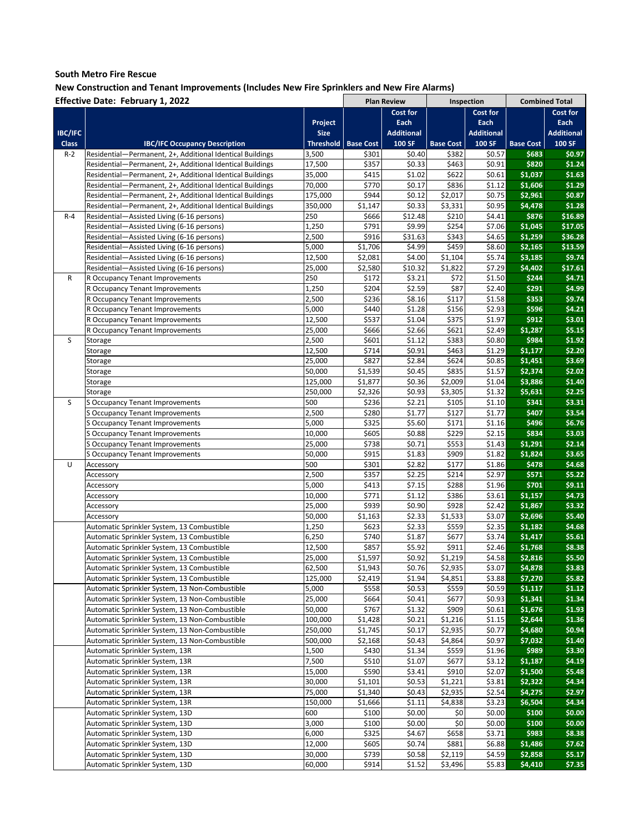|                | <b>Effective Date: February 1, 2022</b>                   |             |                  | <b>Plan Review</b> | Inspection       |                   | <b>Combined Total</b> |                   |
|----------------|-----------------------------------------------------------|-------------|------------------|--------------------|------------------|-------------------|-----------------------|-------------------|
|                |                                                           |             |                  | Cost for           |                  | <b>Cost for</b>   |                       | Cost for          |
|                |                                                           | Project     |                  | Each               |                  | Each              |                       | Each              |
| <b>IBC/IFC</b> |                                                           | <b>Size</b> |                  | <b>Additional</b>  |                  | <b>Additional</b> |                       | <b>Additional</b> |
| <b>Class</b>   | <b>IBC/IFC Occupancy Description</b>                      | Threshold   | <b>Base Cost</b> | 100 SF             | <b>Base Cost</b> | 100 SF            | <b>Base Cost</b>      | 100 SF            |
|                |                                                           |             |                  |                    |                  |                   |                       |                   |
| $R-2$          | Residential-Permanent, 2+, Additional Identical Buildings | 3,500       | \$301            | \$0.40             | \$382            | \$0.57            | \$683                 | \$0.97            |
|                | Residential-Permanent, 2+, Additional Identical Buildings | 17,500      | \$357            | \$0.33             | \$463            | \$0.91            | \$820                 | \$1.24            |
|                | Residential-Permanent, 2+, Additional Identical Buildings | 35,000      | \$415            | \$1.02             | \$622            | \$0.61            | \$1,037               | \$1.63            |
|                | Residential—Permanent, 2+, Additional Identical Buildings | 70,000      | \$770            | \$0.17             | \$836            | \$1.12            | \$1,606               | \$1.29            |
|                | Residential-Permanent, 2+, Additional Identical Buildings | 175,000     | \$944            | \$0.12             | \$2,017          | \$0.75            | \$2,961               | \$0.87            |
|                | Residential-Permanent, 2+, Additional Identical Buildings | 350,000     | \$1,147          | \$0.33             | \$3,331          | \$0.95            | \$4,478               | \$1.28            |
| $R - 4$        | Residential-Assisted Living (6-16 persons)                | 250         | \$666            | \$12.48            | \$210            | \$4.41            | \$876                 | \$16.89           |
|                | Residential-Assisted Living (6-16 persons)                | 1,250       | \$791            | \$9.99             | \$254            | \$7.06            | \$1,045               | \$17.05           |
|                | Residential—Assisted Living (6-16 persons)                | 2,500       | \$916            | \$31.63            | \$343            | \$4.65            | \$1,259               | \$36.28           |
|                | Residential—Assisted Living (6-16 persons)                | 5,000       | \$1,706          | \$4.99             | \$459            | \$8.60            | \$2,165               | \$13.59           |
|                | Residential-Assisted Living (6-16 persons)                | 12,500      | \$2,081          | \$4.00             | \$1,104          | \$5.74            | \$3,185               | \$9.74            |
|                |                                                           |             |                  |                    |                  |                   |                       |                   |
|                | Residential-Assisted Living (6-16 persons)                | 25,000      | \$2,580          | \$10.32            | \$1,822          | \$7.29            | \$4,402               | \$17.61           |
| R              | R Occupancy Tenant Improvements                           | 250         | \$172            | \$3.21             | \$72             | \$1.50            | \$244                 | \$4.71            |
|                | R Occupancy Tenant Improvements                           | 1,250       | \$204            | \$2.59             | \$87             | \$2.40            | \$291                 | \$4.99            |
|                | R Occupancy Tenant Improvements                           | 2,500       | \$236            | \$8.16             | \$117            | \$1.58            | \$353                 | \$9.74            |
|                | R Occupancy Tenant Improvements                           | 5,000       | \$440            | \$1.28             | \$156            | \$2.93            | \$596                 | \$4.21            |
|                | R Occupancy Tenant Improvements                           | 12,500      | \$537            | \$1.04             | \$375            | \$1.97            | \$912                 | \$3.01            |
|                | R Occupancy Tenant Improvements                           | 25,000      | \$666            | \$2.66             | \$621            | \$2.49            | \$1,287               | \$5.15            |
| S              | Storage                                                   | 2,500       | \$601            | \$1.12             | \$383            | \$0.80            | \$984                 | \$1.92            |
|                | Storage                                                   | 12,500      | \$714            | \$0.91             | \$463            | \$1.29            | \$1,177               | \$2.20            |
|                | Storage                                                   | 25,000      | \$827            | \$2.84             | \$624            | \$0.85            | \$1,451               | \$3.69            |
|                | Storage                                                   | 50,000      | \$1,539          | \$0.45             | \$835            | \$1.57            | \$2,374               | \$2.02            |
|                |                                                           |             |                  |                    | \$2,009          | \$1.04            |                       | \$1.40            |
|                | Storage                                                   | 125,000     | \$1,877          | \$0.36             |                  |                   | \$3,886               |                   |
|                | Storage                                                   | 250,000     | \$2,326          | \$0.93             | \$3,305          | \$1.32            | \$5,631               | \$2.25            |
| S              | S Occupancy Tenant Improvements                           | 500         | \$236            | \$2.21             | \$105            | \$1.10            | \$341                 | \$3.31            |
|                | <b>S Occupancy Tenant Improvements</b>                    | 2,500       | \$280            | \$1.77             | \$127            | \$1.77            | \$407                 | \$3.54            |
|                | S Occupancy Tenant Improvements                           | 5,000       | \$325            | \$5.60             | \$171            | \$1.16            | \$496                 | \$6.76            |
|                | S Occupancy Tenant Improvements                           | 10,000      | \$605            | \$0.88             | \$229            | \$2.15            | \$834                 | \$3.03            |
|                | S Occupancy Tenant Improvements                           | 25,000      | \$738            | \$0.71             | \$553            | \$1.43            | \$1,291               | \$2.14            |
|                | S Occupancy Tenant Improvements                           | 50,000      | \$915            | \$1.83             | \$909            | \$1.82            | \$1,824               | \$3.65            |
| U              | Accessory                                                 | 500         | \$301            | \$2.82             | \$177            | \$1.86            | \$478                 | \$4.68            |
|                | Accessory                                                 | 2,500       | \$357            | \$2.25             | \$214            | \$2.97            | \$571                 | \$5.22            |
|                | Accessory                                                 | 5,000       | \$413            | \$7.15             | \$288            | \$1.96            | \$701                 | \$9.11            |
|                | Accessory                                                 | 10,000      | \$771            | \$1.12             | \$386            | \$3.61            | \$1,157               | \$4.73            |
|                | Accessory                                                 | 25,000      | \$939            | \$0.90             | \$928            | \$2.42            | \$1,867               | \$3.32            |
|                |                                                           |             |                  |                    |                  |                   |                       |                   |
|                | Accessory                                                 | 50,000      | \$1,163          | \$2.33             | \$1,533          | \$3.07            | \$2,696               | \$5.40            |
|                | Automatic Sprinkler System, 13 Combustible                | 1,250       | \$623            | \$2.33             | \$559            | \$2.35            | \$1,182               | \$4.68            |
|                | Automatic Sprinkler System, 13 Combustible                | 6,250       | \$740            | \$1.87             | \$677            | \$3.74            | \$1,417               | \$5.61            |
|                | Automatic Sprinkler System, 13 Combustible                | 12,500      | \$857            | \$5.92             | \$911            | \$2.46            | \$1,768               | \$8.38            |
|                | Automatic Sprinkler System, 13 Combustible                | 25,000      | \$1,597          | \$0.92             | \$1,219          | \$4.58            | \$2,816               | \$5.50            |
|                | Automatic Sprinkler System, 13 Combustible                | 62,500      | \$1,943          | \$0.76             | \$2,935          | \$3.07            | \$4,878               | \$3.83            |
|                | Automatic Sprinkler System, 13 Combustible                | 125,000     | \$2,419          | \$1.94             | \$4,851          | \$3.88            | \$7,270               | \$5.82            |
|                | Automatic Sprinkler System, 13 Non-Combustible            | 5,000       | \$558            | \$0.53             | \$559            | \$0.59            | \$1,117               | \$1.12            |
|                | Automatic Sprinkler System, 13 Non-Combustible            | 25,000      | \$664            | \$0.41             | \$677            | \$0.93            | \$1,341               | \$1.34            |
|                | Automatic Sprinkler System, 13 Non-Combustible            | 50,000      | \$767            | \$1.32             | \$909            | \$0.61            | \$1,676               | \$1.93            |
|                | Automatic Sprinkler System, 13 Non-Combustible            | 100,000     | \$1,428          | \$0.21             | \$1,216          | \$1.15            | \$2,644               | \$1.36            |
|                |                                                           | 250,000     | \$1,745          | \$0.17             |                  | \$0.77            | \$4,680               | \$0.94            |
|                | Automatic Sprinkler System, 13 Non-Combustible            |             |                  |                    | \$2,935          |                   |                       |                   |
|                | Automatic Sprinkler System, 13 Non-Combustible            | 500,000     | \$2,168          | \$0.43             | \$4,864          | \$0.97            | \$7,032               | \$1.40            |
|                | Automatic Sprinkler System, 13R                           | 1,500       | \$430            | \$1.34             | \$559            | \$1.96            | \$989                 | \$3.30            |
|                | Automatic Sprinkler System, 13R                           | 7,500       | \$510            | \$1.07             | \$677            | \$3.12            | \$1,187               | \$4.19            |
|                | Automatic Sprinkler System, 13R                           | 15,000      | \$590            | \$3.41             | \$910            | \$2.07            | \$1,500               | \$5.48            |
|                | Automatic Sprinkler System, 13R                           | 30,000      | \$1,101          | \$0.53             | \$1,221          | \$3.81            | \$2,322               | \$4.34            |
|                | Automatic Sprinkler System, 13R                           | 75,000      | \$1,340          | \$0.43             | \$2,935          | \$2.54            | \$4,275               | \$2.97            |
|                | Automatic Sprinkler System, 13R                           | 150,000     | \$1,666          | \$1.11             | \$4,838          | \$3.23            | \$6,504               | \$4.34            |
|                | Automatic Sprinkler System, 13D                           | 600         | \$100            | \$0.00             | \$0              | \$0.00            | \$100                 | \$0.00            |
|                | Automatic Sprinkler System, 13D                           | 3,000       | \$100            | \$0.00             | \$0              | \$0.00            | \$100                 | \$0.00            |
|                | Automatic Sprinkler System, 13D                           | 6,000       | \$325            | \$4.67             | \$658            | \$3.71            | \$983                 | \$8.38            |
|                | Automatic Sprinkler System, 13D                           | 12,000      | \$605            | \$0.74             | \$881            | \$6.88            | \$1,486               | \$7.62            |
|                | Automatic Sprinkler System, 13D                           | 30,000      | \$739            | \$0.58             | \$2,119          | \$4.59            | \$2,858               | \$5.17            |
|                | Automatic Sprinkler System, 13D                           | 60,000      | \$914            | \$1.52             | \$3,496          | \$5.83            | \$4,410               | \$7.35            |
|                |                                                           |             |                  |                    |                  |                   |                       |                   |